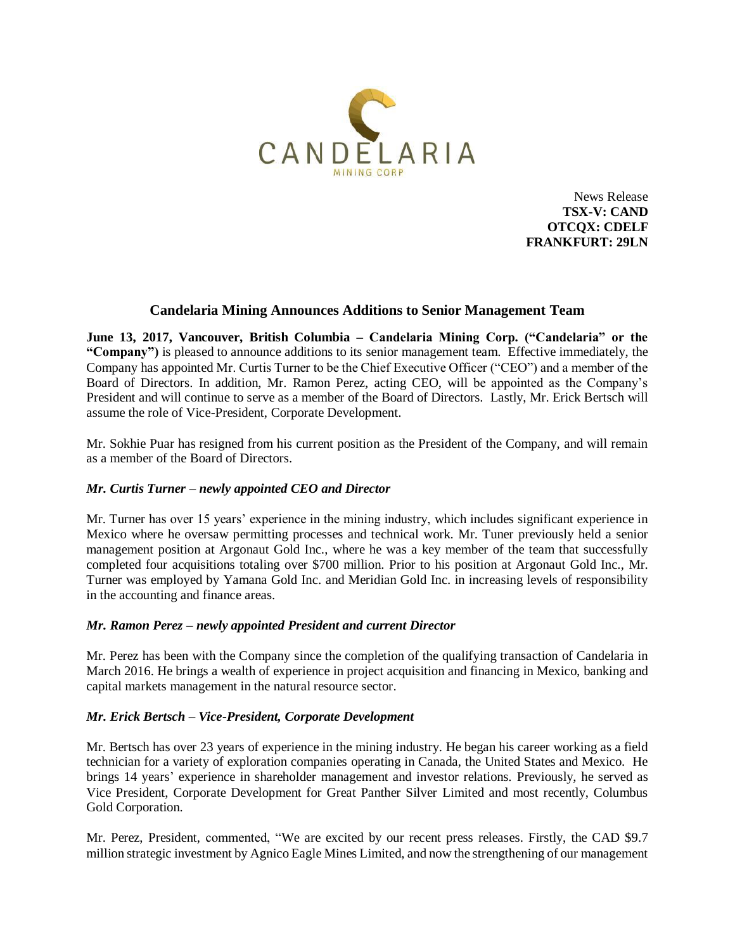

News Release **TSX-V: CAND OTCQX: CDELF FRANKFURT: 29LN**

# **Candelaria Mining Announces Additions to Senior Management Team**

**June 13, 2017, Vancouver, British Columbia – Candelaria Mining Corp. ("Candelaria" or the "Company")** is pleased to announce additions to its senior management team. Effective immediately, the Company has appointed Mr. Curtis Turner to be the Chief Executive Officer ("CEO") and a member of the Board of Directors. In addition, Mr. Ramon Perez, acting CEO, will be appointed as the Company's President and will continue to serve as a member of the Board of Directors. Lastly, Mr. Erick Bertsch will assume the role of Vice-President, Corporate Development.

Mr. Sokhie Puar has resigned from his current position as the President of the Company, and will remain as a member of the Board of Directors.

## *Mr. Curtis Turner – newly appointed CEO and Director*

Mr. Turner has over 15 years' experience in the mining industry, which includes significant experience in Mexico where he oversaw permitting processes and technical work. Mr. Tuner previously held a senior management position at Argonaut Gold Inc., where he was a key member of the team that successfully completed four acquisitions totaling over \$700 million. Prior to his position at Argonaut Gold Inc., Mr. Turner was employed by Yamana Gold Inc. and Meridian Gold Inc. in increasing levels of responsibility in the accounting and finance areas.

#### *Mr. Ramon Perez – newly appointed President and current Director*

Mr. Perez has been with the Company since the completion of the qualifying transaction of Candelaria in March 2016. He brings a wealth of experience in project acquisition and financing in Mexico, banking and capital markets management in the natural resource sector.

#### *Mr. Erick Bertsch – Vice-President, Corporate Development*

Mr. Bertsch has over 23 years of experience in the mining industry. He began his career working as a field technician for a variety of exploration companies operating in Canada, the United States and Mexico. He brings 14 years' experience in shareholder management and investor relations. Previously, he served as Vice President, Corporate Development for Great Panther Silver Limited and most recently, Columbus Gold Corporation.

Mr. Perez, President, commented, "We are excited by our recent press releases. Firstly, the CAD \$9.7 million strategic investment by Agnico Eagle Mines Limited, and now the strengthening of our management